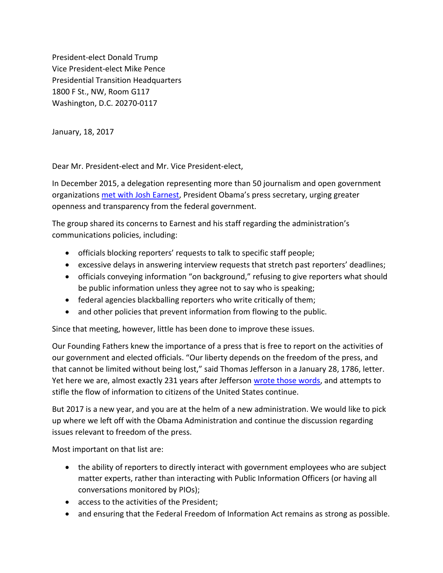President-elect Donald Trump Vice President-elect Mike Pence Presidential Transition Headquarters 1800 F St., NW, Room G117 Washington, D.C. 20270-0117

January, 18, 2017

Dear Mr. President-elect and Mr. Vice President-elect,

In December 2015, a delegation representing more than 50 journalism and open government organizations [met with Josh Earnest](http://www.spj.org/news.asp?REF=1402), President Obama's press secretary, urging greater openness and transparency from the federal government.

The group shared its concerns to Earnest and his staff regarding the administration's communications policies, including:

- officials blocking reporters' requests to talk to specific staff people;
- excessive delays in answering interview requests that stretch past reporters' deadlines;
- officials conveying information "on background," refusing to give reporters what should be public information unless they agree not to say who is speaking;
- federal agencies blackballing reporters who write critically of them;
- and other policies that prevent information from flowing to the public.

Since that meeting, however, little has been done to improve these issues.

Our Founding Fathers knew the importance of a press that is free to report on the activities of our government and elected officials. "Our liberty depends on the freedom of the press, and that cannot be limited without being lost," said Thomas Jefferson in a January 28, 1786, letter. Yet here we are, almost exactly 231 years after Jefferson [wrote those words,](http://founders.archives.gov/documents/Jefferson/01-09-02-0209) and attempts to stifle the flow of information to citizens of the United States continue.

But 2017 is a new year, and you are at the helm of a new administration. We would like to pick up where we left off with the Obama Administration and continue the discussion regarding issues relevant to freedom of the press.

Most important on that list are:

- the ability of reporters to directly interact with government employees who are subject matter experts, rather than interacting with Public Information Officers (or having all conversations monitored by PIOs);
- access to the activities of the President;
- and ensuring that the Federal Freedom of Information Act remains as strong as possible.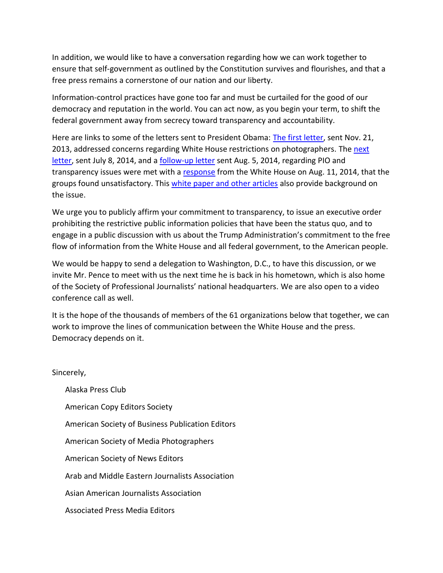In addition, we would like to have a conversation regarding how we can work together to ensure that self-government as outlined by the Constitution survives and flourishes, and that a free press remains a cornerstone of our nation and our liberty.

Information-control practices have gone too far and must be curtailed for the good of our democracy and reputation in the world. You can act now, as you begin your term, to shift the federal government away from secrecy toward transparency and accountability.

Here are links to some of the letters sent to President Obama: [The first letter,](https://nppa.org/sites/default/files/wh_letter_protest.pdf) sent Nov. 21, 2013, addressed concerns regarding White House restrictions on photographers. The [next](https://www.spj.org/news.asp?ref=1254) [letter,](https://www.spj.org/news.asp?ref=1254) sent July 8, 2014, and a [follow-up letter](https://www.spj.org/news.asp?ref=1266) sent Aug. 5, 2014, regarding PIO and transparency issues were met with a [response](https://www.spj.org/news.asp?ref=1267) from the White House on Aug. 11, 2014, that the groups found unsatisfactory. This [white paper and other articles](http://www.spj.org/pdf/news/obama-restrictions-press-freedom-2015-12-15.pdf) also provide background on the issue.

We urge you to publicly affirm your commitment to transparency, to issue an executive order prohibiting the restrictive public information policies that have been the status quo, and to engage in a public discussion with us about the Trump Administration's commitment to the free flow of information from the White House and all federal government, to the American people.

We would be happy to send a delegation to Washington, D.C., to have this discussion, or we invite Mr. Pence to meet with us the next time he is back in his hometown, which is also home of the Society of Professional Journalists' national headquarters. We are also open to a video conference call as well.

It is the hope of the thousands of members of the 61 organizations below that together, we can work to improve the lines of communication between the White House and the press. Democracy depends on it.

Sincerely,

Alaska Press Club American Copy Editors Society American Society of Business Publication Editors American Society of Media Photographers American Society of News Editors Arab and Middle Eastern Journalists Association Asian American Journalists Association Associated Press Media Editors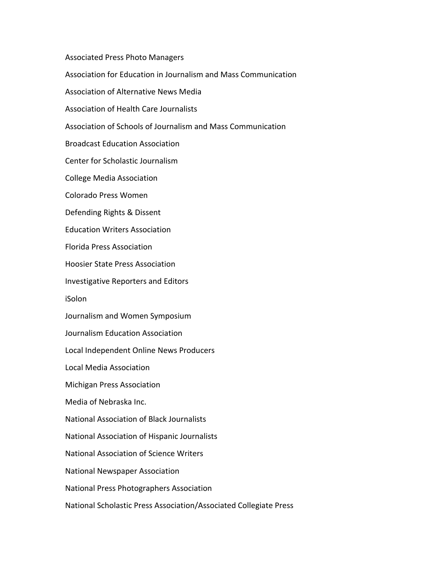Associated Press Photo Managers

Association for Education in Journalism and Mass Communication

Association of Alternative News Media

Association of Health Care Journalists

Association of Schools of Journalism and Mass Communication

Broadcast Education Association

Center for Scholastic Journalism

College Media Association

Colorado Press Women

Defending Rights & Dissent

Education Writers Association

Florida Press Association

Hoosier State Press Association

Investigative Reporters and Editors

iSolon

Journalism and Women Symposium

Journalism Education Association

Local Independent Online News Producers

Local Media Association

Michigan Press Association

Media of Nebraska Inc.

National Association of Black Journalists

National Association of Hispanic Journalists

National Association of Science Writers

National Newspaper Association

National Press Photographers Association

National Scholastic Press Association/Associated Collegiate Press